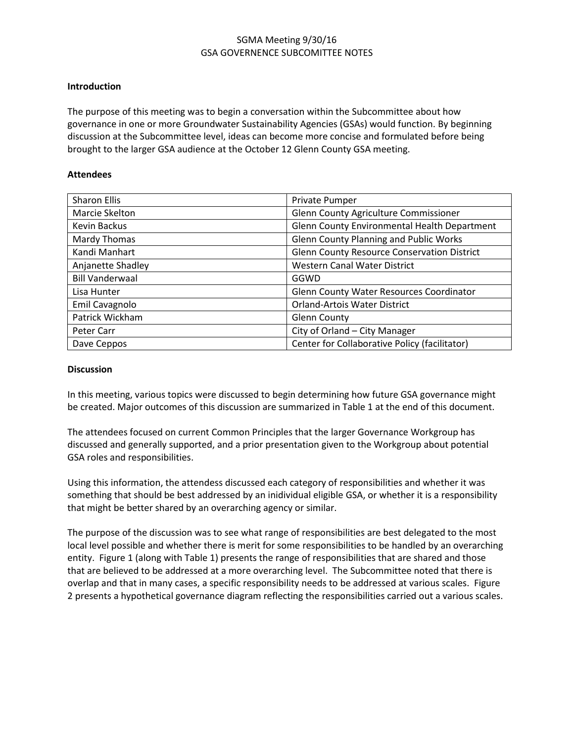### SGMA Meeting 9/30/16 GSA GOVERNENCE SUBCOMITTEE NOTES

#### **Introduction**

The purpose of this meeting was to begin a conversation within the Subcommittee about how governance in one or more Groundwater Sustainability Agencies (GSAs) would function. By beginning discussion at the Subcommittee level, ideas can become more concise and formulated before being brought to the larger GSA audience at the October 12 Glenn County GSA meeting.

#### **Attendees**

| <b>Sharon Ellis</b>    | Private Pumper                                     |
|------------------------|----------------------------------------------------|
| Marcie Skelton         | Glenn County Agriculture Commissioner              |
| Kevin Backus           | Glenn County Environmental Health Department       |
| Mardy Thomas           | <b>Glenn County Planning and Public Works</b>      |
| Kandi Manhart          | <b>Glenn County Resource Conservation District</b> |
| Anjanette Shadley      | <b>Western Canal Water District</b>                |
| <b>Bill Vanderwaal</b> | GGWD                                               |
| Lisa Hunter            | <b>Glenn County Water Resources Coordinator</b>    |
| Emil Cavagnolo         | <b>Orland-Artois Water District</b>                |
| Patrick Wickham        | <b>Glenn County</b>                                |
| Peter Carr             | City of Orland - City Manager                      |
| Dave Ceppos            | Center for Collaborative Policy (facilitator)      |

#### **Discussion**

In this meeting, various topics were discussed to begin determining how future GSA governance might be created. Major outcomes of this discussion are summarized in Table 1 at the end of this document.

The attendees focused on current Common Principles that the larger Governance Workgroup has discussed and generally supported, and a prior presentation given to the Workgroup about potential GSA roles and responsibilities.

Using this information, the attendess discussed each category of responsibilities and whether it was something that should be best addressed by an inidividual eligible GSA, or whether it is a responsibility that might be better shared by an overarching agency or similar.

The purpose of the discussion was to see what range of responsibilities are best delegated to the most local level possible and whether there is merit for some responsibilities to be handled by an overarching entity. Figure 1 (along with Table 1) presents the range of responsibilities that are shared and those that are believed to be addressed at a more overarching level. The Subcommittee noted that there is overlap and that in many cases, a specific responsibility needs to be addressed at various scales. Figure 2 presents a hypothetical governance diagram reflecting the responsibilities carried out a various scales.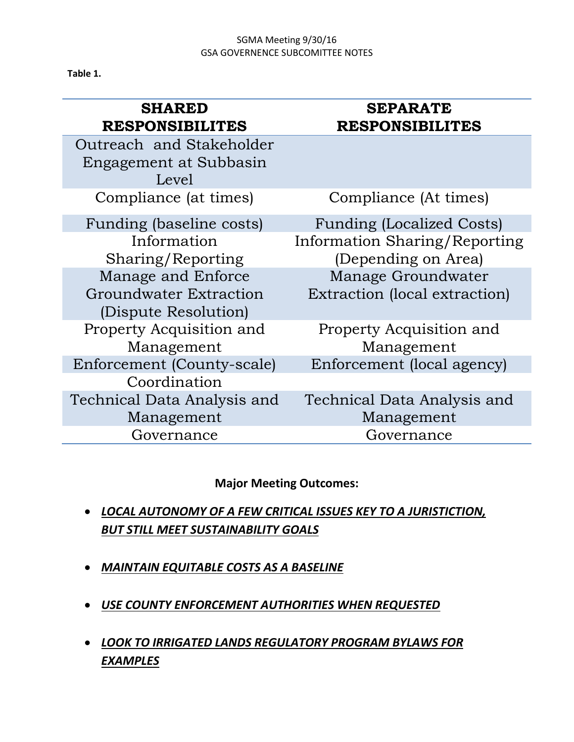## SGMA Meeting 9/30/16 GSA GOVERNENCE SUBCOMITTEE NOTES

**Table 1.**

| <b>SHARED</b><br><b>RESPONSIBILITES</b>                                                                                              | <b>SEPARATE</b><br><b>RESPONSIBILITES</b>                                                                                                              |
|--------------------------------------------------------------------------------------------------------------------------------------|--------------------------------------------------------------------------------------------------------------------------------------------------------|
| Outreach and Stakeholder<br>Engagement at Subbasin<br>Level                                                                          |                                                                                                                                                        |
| Compliance (at times)                                                                                                                | Compliance (At times)                                                                                                                                  |
| Funding (baseline costs)<br>Information<br>Sharing/Reporting<br>Manage and Enforce<br>Groundwater Extraction<br>(Dispute Resolution) | <b>Funding (Localized Costs)</b><br><b>Information Sharing/Reporting</b><br>(Depending on Area)<br>Manage Groundwater<br>Extraction (local extraction) |
| Property Acquisition and<br>Management                                                                                               | Property Acquisition and<br>Management                                                                                                                 |
| Enforcement (County-scale)                                                                                                           | Enforcement (local agency)                                                                                                                             |
| Coordination                                                                                                                         |                                                                                                                                                        |
| Technical Data Analysis and                                                                                                          | Technical Data Analysis and                                                                                                                            |
| Management                                                                                                                           | Management                                                                                                                                             |
| Governance                                                                                                                           | Governance                                                                                                                                             |

## **Major Meeting Outcomes:**

- *LOCAL AUTONOMY OF A FEW CRITICAL ISSUES KEY TO A JURISTICTION, BUT STILL MEET SUSTAINABILITY GOALS*
- *MAINTAIN EQUITABLE COSTS AS A BASELINE*
- *USE COUNTY ENFORCEMENT AUTHORITIES WHEN REQUESTED*
- *LOOK TO IRRIGATED LANDS REGULATORY PROGRAM BYLAWS FOR EXAMPLES*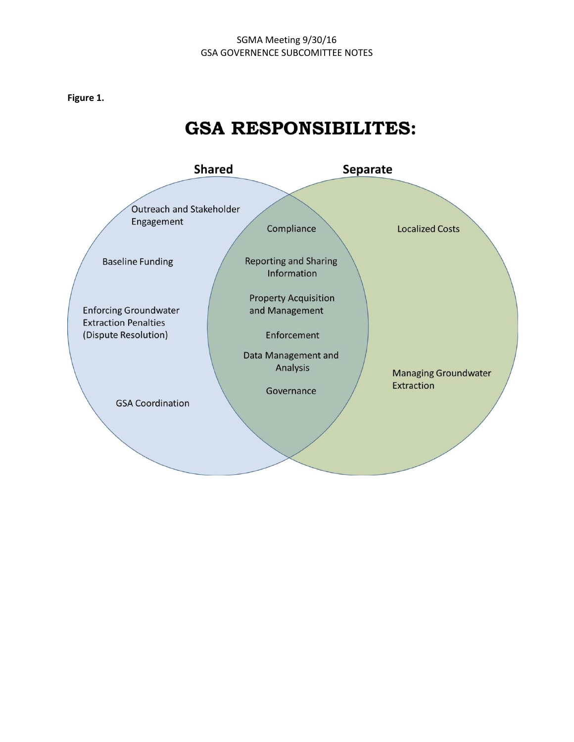### SGMA Meeting 9/30/16 GSA GOVERNENCE SUBCOMITTEE NOTES

**Figure 1.**

# **GSA RESPONSIBILITES:**